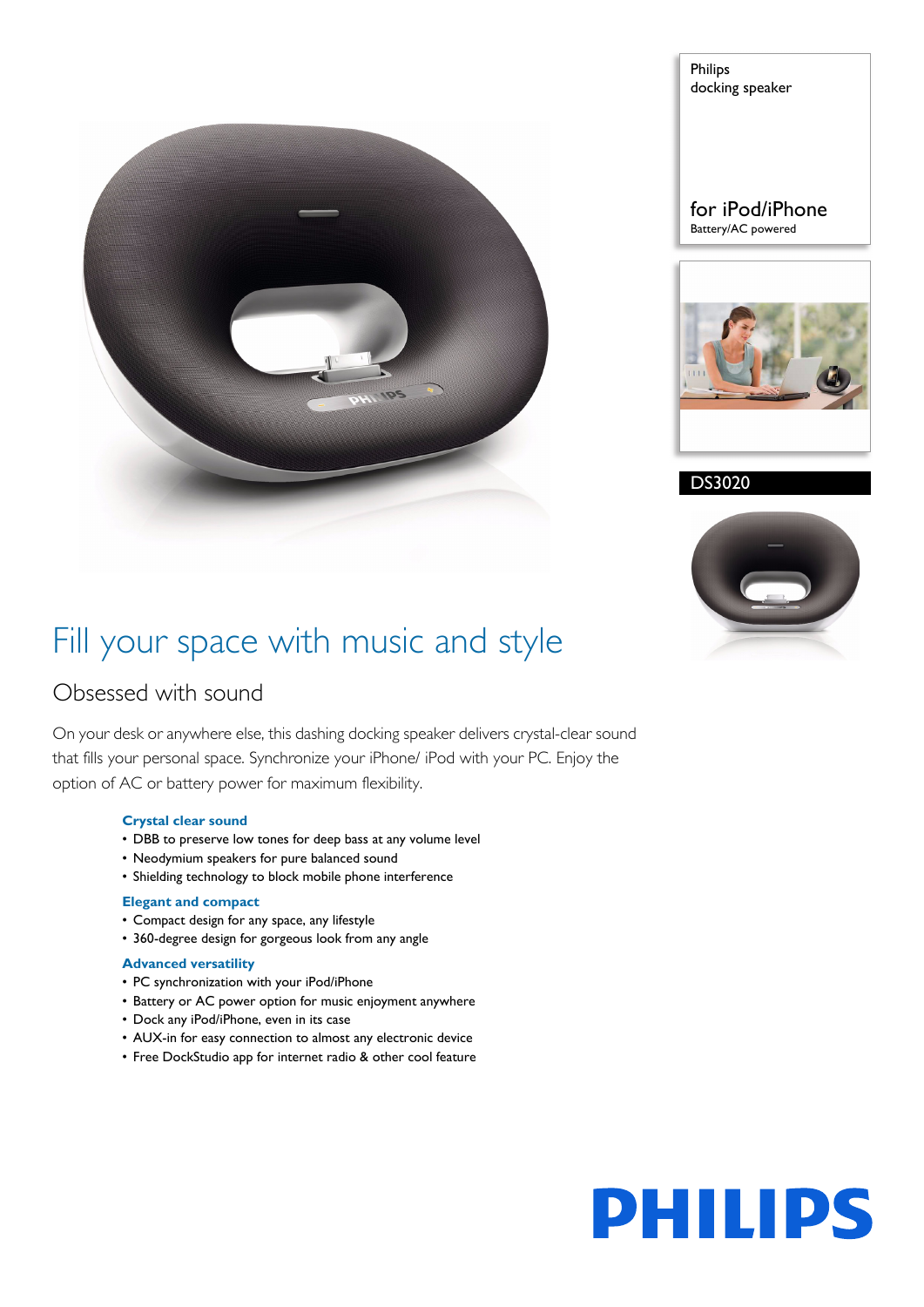

Philips docking speaker

for iPod/iPhone Battery/AC powered



DS3020



### Fill your space with music and style

### Obsessed with sound

On your desk or anywhere else, this dashing docking speaker delivers crystal-clear sound that fills your personal space. Synchronize your iPhone/ iPod with your PC. Enjoy the option of AC or battery power for maximum flexibility.

#### **Crystal clear sound**

- DBB to preserve low tones for deep bass at any volume level
- Neodymium speakers for pure balanced sound
- Shielding technology to block mobile phone interference

#### **Elegant and compact**

- Compact design for any space, any lifestyle
- 360-degree design for gorgeous look from any angle

#### **Advanced versatility**

- PC synchronization with your iPod/iPhone
- Battery or AC power option for music enjoyment anywhere
- Dock any iPod/iPhone, even in its case
- AUX-in for easy connection to almost any electronic device
- Free DockStudio app for internet radio & other cool feature